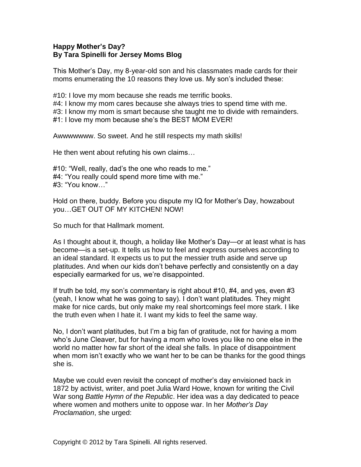## **Happy Mother's Day? By Tara Spinelli for Jersey Moms Blog**

This Mother's Day, my 8-year-old son and his classmates made cards for their moms enumerating the 10 reasons they love us. My son's included these:

#10: I love my mom because she reads me terrific books.

#4: I know my mom cares because she always tries to spend time with me. #3: I know my mom is smart because she taught me to divide with remainders. #1: I love my mom because she's the BEST MOM EVER!

Awwwwwww. So sweet. And he still respects my math skills!

He then went about refuting his own claims…

#10: "Well, really, dad's the one who reads to me." #4: "You really could spend more time with me." #3: "You know…"

Hold on there, buddy. Before you dispute my IQ for Mother's Day, howzabout you…GET OUT OF MY KITCHEN! NOW!

So much for that Hallmark moment.

As I thought about it, though, a holiday like Mother's Day—or at least what is has become—is a set-up. It tells us how to feel and express ourselves according to an ideal standard. It expects us to put the messier truth aside and serve up platitudes. And when our kids don't behave perfectly and consistently on a day especially earmarked for us, we're disappointed.

If truth be told, my son's commentary is right about #10, #4, and yes, even #3 (yeah, I know what he was going to say). I don't want platitudes. They might make for nice cards, but only make my real shortcomings feel more stark. I like the truth even when I hate it. I want my kids to feel the same way.

No, I don't want platitudes, but I'm a big fan of gratitude, not for having a mom who's June Cleaver, but for having a mom who loves you like no one else in the world no matter how far short of the ideal she falls. In place of disappointment when mom isn't exactly who we want her to be can be thanks for the good things she is.

Maybe we could even revisit the concept of mother's day envisioned back in 1872 by activist, writer, and poet Julia Ward Howe, known for writing the Civil War song *Battle Hymn of the Republic*. Her idea was a day dedicated to peace where women and mothers unite to oppose war. In her *Mother's Day Proclamation*, she urged: